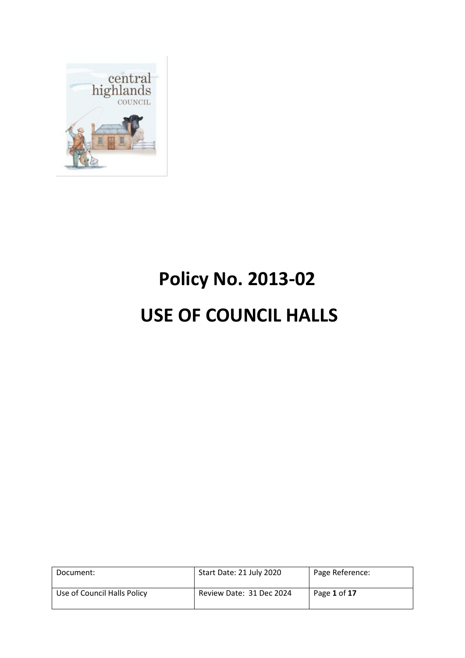

# **Policy No. 2013-02 USE OF COUNCIL HALLS**

| Document:                   | Start Date: 21 July 2020 | Page Reference: |
|-----------------------------|--------------------------|-----------------|
| Use of Council Halls Policy | Review Date: 31 Dec 2024 | Page 1 of 17    |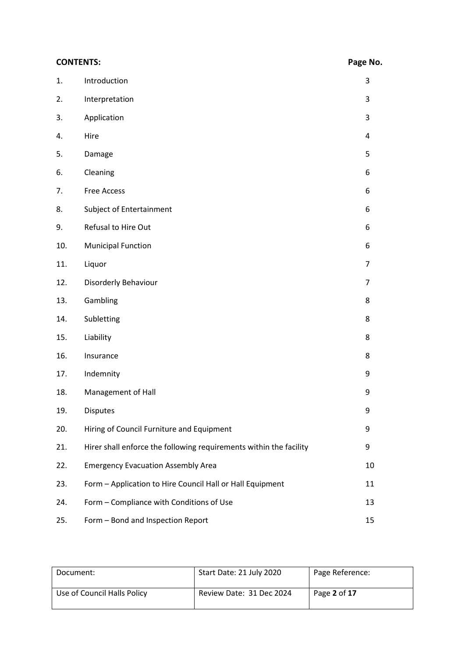#### **CONTENTS: Page No.**

| 1.  | Introduction                                                       | 3              |
|-----|--------------------------------------------------------------------|----------------|
| 2.  | Interpretation                                                     | 3              |
| 3.  | Application                                                        | 3              |
| 4.  | Hire                                                               | 4              |
| 5.  | Damage                                                             | 5              |
| 6.  | Cleaning                                                           | 6              |
| 7.  | <b>Free Access</b>                                                 | 6              |
| 8.  | Subject of Entertainment                                           | 6              |
| 9.  | Refusal to Hire Out                                                | 6              |
| 10. | <b>Municipal Function</b>                                          | 6              |
| 11. | Liquor                                                             | $\overline{7}$ |
| 12. | Disorderly Behaviour                                               | $\overline{7}$ |
| 13. | Gambling                                                           | 8              |
| 14. | Subletting                                                         | 8              |
| 15. | Liability                                                          | 8              |
| 16. | Insurance                                                          | 8              |
| 17. | Indemnity                                                          | 9              |
| 18. | Management of Hall                                                 | 9              |
| 19. | <b>Disputes</b>                                                    | 9              |
| 20. | Hiring of Council Furniture and Equipment                          | 9              |
| 21. | Hirer shall enforce the following requirements within the facility | 9              |
| 22. | <b>Emergency Evacuation Assembly Area</b>                          | 10             |
| 23. | Form - Application to Hire Council Hall or Hall Equipment          | 11             |
| 24. | Form - Compliance with Conditions of Use                           | 13             |
| 25. | Form - Bond and Inspection Report                                  | 15             |

| Document:                   | Start Date: 21 July 2020 | Page Reference: |
|-----------------------------|--------------------------|-----------------|
| Use of Council Halls Policy | Review Date: 31 Dec 2024 | Page 2 of 17    |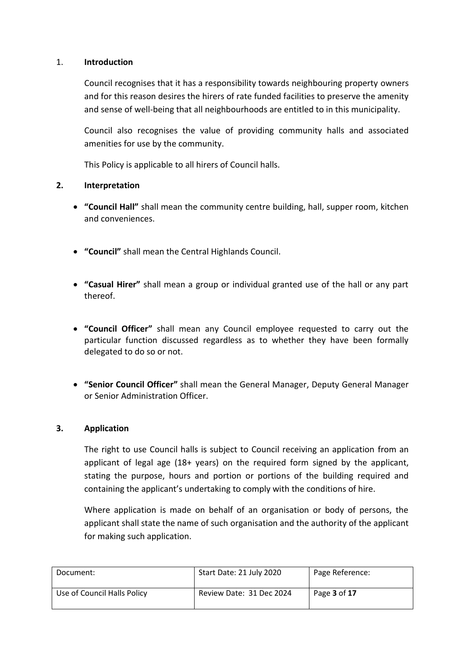#### 1. **Introduction**

Council recognises that it has a responsibility towards neighbouring property owners and for this reason desires the hirers of rate funded facilities to preserve the amenity and sense of well-being that all neighbourhoods are entitled to in this municipality.

Council also recognises the value of providing community halls and associated amenities for use by the community.

This Policy is applicable to all hirers of Council halls.

#### **2. Interpretation**

- **"Council Hall"** shall mean the community centre building, hall, supper room, kitchen and conveniences.
- **"Council"** shall mean the Central Highlands Council.
- **"Casual Hirer"** shall mean a group or individual granted use of the hall or any part thereof.
- **"Council Officer"** shall mean any Council employee requested to carry out the particular function discussed regardless as to whether they have been formally delegated to do so or not.
- **"Senior Council Officer"** shall mean the General Manager, Deputy General Manager or Senior Administration Officer.

#### **3. Application**

The right to use Council halls is subject to Council receiving an application from an applicant of legal age (18+ years) on the required form signed by the applicant, stating the purpose, hours and portion or portions of the building required and containing the applicant's undertaking to comply with the conditions of hire.

Where application is made on behalf of an organisation or body of persons, the applicant shall state the name of such organisation and the authority of the applicant for making such application.

| Document:                   | Start Date: 21 July 2020 | Page Reference:     |
|-----------------------------|--------------------------|---------------------|
| Use of Council Halls Policy | Review Date: 31 Dec 2024 | Page <b>3</b> of 17 |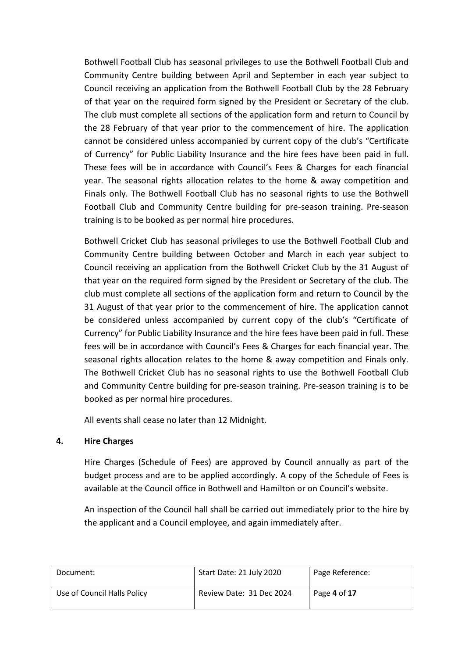Bothwell Football Club has seasonal privileges to use the Bothwell Football Club and Community Centre building between April and September in each year subject to Council receiving an application from the Bothwell Football Club by the 28 February of that year on the required form signed by the President or Secretary of the club. The club must complete all sections of the application form and return to Council by the 28 February of that year prior to the commencement of hire. The application cannot be considered unless accompanied by current copy of the club's "Certificate of Currency" for Public Liability Insurance and the hire fees have been paid in full. These fees will be in accordance with Council's Fees & Charges for each financial year. The seasonal rights allocation relates to the home & away competition and Finals only. The Bothwell Football Club has no seasonal rights to use the Bothwell Football Club and Community Centre building for pre-season training. Pre-season training is to be booked as per normal hire procedures.

Bothwell Cricket Club has seasonal privileges to use the Bothwell Football Club and Community Centre building between October and March in each year subject to Council receiving an application from the Bothwell Cricket Club by the 31 August of that year on the required form signed by the President or Secretary of the club. The club must complete all sections of the application form and return to Council by the 31 August of that year prior to the commencement of hire. The application cannot be considered unless accompanied by current copy of the club's "Certificate of Currency" for Public Liability Insurance and the hire fees have been paid in full. These fees will be in accordance with Council's Fees & Charges for each financial year. The seasonal rights allocation relates to the home & away competition and Finals only. The Bothwell Cricket Club has no seasonal rights to use the Bothwell Football Club and Community Centre building for pre-season training. Pre-season training is to be booked as per normal hire procedures.

All events shall cease no later than 12 Midnight.

#### **4. Hire Charges**

Hire Charges (Schedule of Fees) are approved by Council annually as part of the budget process and are to be applied accordingly. A copy of the Schedule of Fees is available at the Council office in Bothwell and Hamilton or on Council's website.

An inspection of the Council hall shall be carried out immediately prior to the hire by the applicant and a Council employee, and again immediately after.

| Document:                   | Start Date: 21 July 2020 | Page Reference: |
|-----------------------------|--------------------------|-----------------|
| Use of Council Halls Policy | Review Date: 31 Dec 2024 | Page 4 of 17    |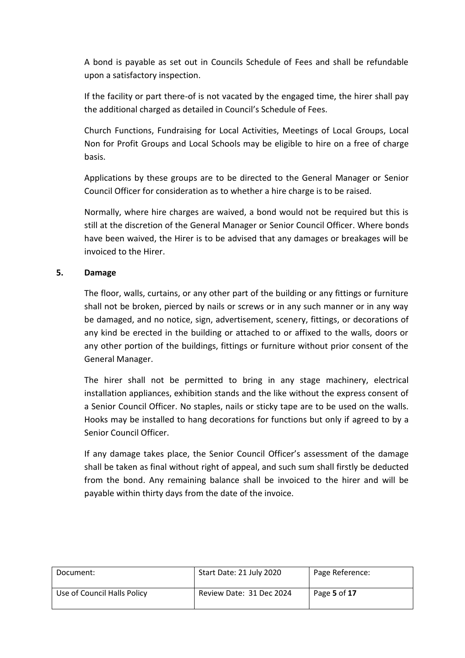A bond is payable as set out in Councils Schedule of Fees and shall be refundable upon a satisfactory inspection.

If the facility or part there-of is not vacated by the engaged time, the hirer shall pay the additional charged as detailed in Council's Schedule of Fees.

Church Functions, Fundraising for Local Activities, Meetings of Local Groups, Local Non for Profit Groups and Local Schools may be eligible to hire on a free of charge basis.

Applications by these groups are to be directed to the General Manager or Senior Council Officer for consideration as to whether a hire charge is to be raised.

Normally, where hire charges are waived, a bond would not be required but this is still at the discretion of the General Manager or Senior Council Officer. Where bonds have been waived, the Hirer is to be advised that any damages or breakages will be invoiced to the Hirer.

#### **5. Damage**

The floor, walls, curtains, or any other part of the building or any fittings or furniture shall not be broken, pierced by nails or screws or in any such manner or in any way be damaged, and no notice, sign, advertisement, scenery, fittings, or decorations of any kind be erected in the building or attached to or affixed to the walls, doors or any other portion of the buildings, fittings or furniture without prior consent of the General Manager.

The hirer shall not be permitted to bring in any stage machinery, electrical installation appliances, exhibition stands and the like without the express consent of a Senior Council Officer. No staples, nails or sticky tape are to be used on the walls. Hooks may be installed to hang decorations for functions but only if agreed to by a Senior Council Officer.

If any damage takes place, the Senior Council Officer's assessment of the damage shall be taken as final without right of appeal, and such sum shall firstly be deducted from the bond. Any remaining balance shall be invoiced to the hirer and will be payable within thirty days from the date of the invoice.

| Document:                   | Start Date: 21 July 2020 | Page Reference: |
|-----------------------------|--------------------------|-----------------|
| Use of Council Halls Policy | Review Date: 31 Dec 2024 | Page 5 of 17    |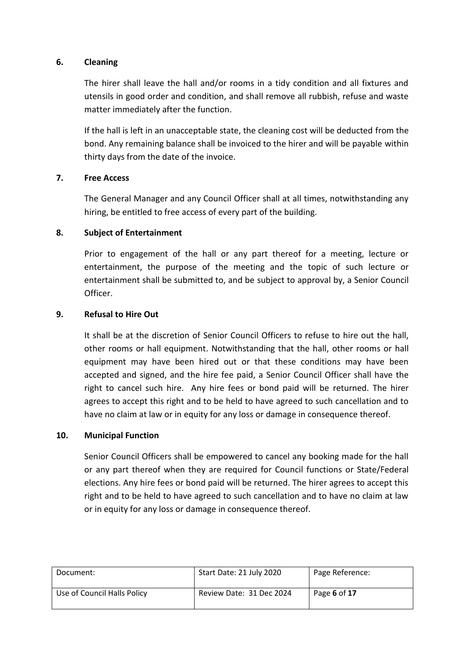#### **6. Cleaning**

The hirer shall leave the hall and/or rooms in a tidy condition and all fixtures and utensils in good order and condition, and shall remove all rubbish, refuse and waste matter immediately after the function.

If the hall is left in an unacceptable state, the cleaning cost will be deducted from the bond. Any remaining balance shall be invoiced to the hirer and will be payable within thirty days from the date of the invoice.

#### **7. Free Access**

The General Manager and any Council Officer shall at all times, notwithstanding any hiring, be entitled to free access of every part of the building.

#### **8. Subject of Entertainment**

Prior to engagement of the hall or any part thereof for a meeting, lecture or entertainment, the purpose of the meeting and the topic of such lecture or entertainment shall be submitted to, and be subject to approval by, a Senior Council Officer.

#### **9. Refusal to Hire Out**

It shall be at the discretion of Senior Council Officers to refuse to hire out the hall, other rooms or hall equipment. Notwithstanding that the hall, other rooms or hall equipment may have been hired out or that these conditions may have been accepted and signed, and the hire fee paid, a Senior Council Officer shall have the right to cancel such hire. Any hire fees or bond paid will be returned. The hirer agrees to accept this right and to be held to have agreed to such cancellation and to have no claim at law or in equity for any loss or damage in consequence thereof.

#### **10. Municipal Function**

Senior Council Officers shall be empowered to cancel any booking made for the hall or any part thereof when they are required for Council functions or State/Federal elections. Any hire fees or bond paid will be returned. The hirer agrees to accept this right and to be held to have agreed to such cancellation and to have no claim at law or in equity for any loss or damage in consequence thereof.

| Document:                   | Start Date: 21 July 2020 | Page Reference: |
|-----------------------------|--------------------------|-----------------|
| Use of Council Halls Policy | Review Date: 31 Dec 2024 | Page 6 of 17    |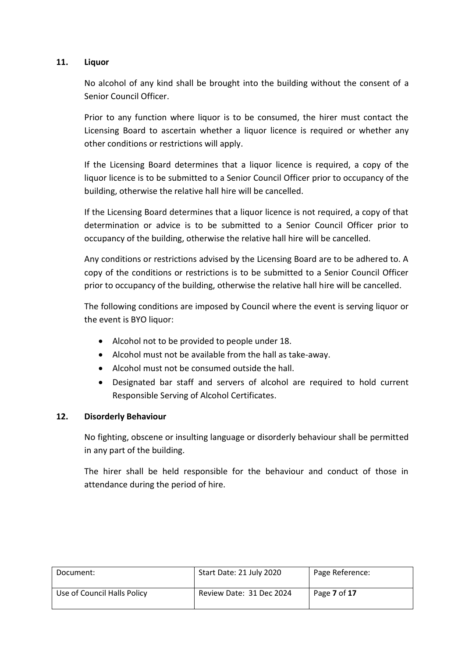#### **11. Liquor**

No alcohol of any kind shall be brought into the building without the consent of a Senior Council Officer.

Prior to any function where liquor is to be consumed, the hirer must contact the Licensing Board to ascertain whether a liquor licence is required or whether any other conditions or restrictions will apply.

If the Licensing Board determines that a liquor licence is required, a copy of the liquor licence is to be submitted to a Senior Council Officer prior to occupancy of the building, otherwise the relative hall hire will be cancelled.

If the Licensing Board determines that a liquor licence is not required, a copy of that determination or advice is to be submitted to a Senior Council Officer prior to occupancy of the building, otherwise the relative hall hire will be cancelled.

Any conditions or restrictions advised by the Licensing Board are to be adhered to. A copy of the conditions or restrictions is to be submitted to a Senior Council Officer prior to occupancy of the building, otherwise the relative hall hire will be cancelled.

The following conditions are imposed by Council where the event is serving liquor or the event is BYO liquor:

- Alcohol not to be provided to people under 18.
- Alcohol must not be available from the hall as take-away.
- Alcohol must not be consumed outside the hall.
- Designated bar staff and servers of alcohol are required to hold current Responsible Serving of Alcohol Certificates.

#### **12. Disorderly Behaviour**

No fighting, obscene or insulting language or disorderly behaviour shall be permitted in any part of the building.

The hirer shall be held responsible for the behaviour and conduct of those in attendance during the period of hire.

| Document:                   | Start Date: 21 July 2020 | Page Reference: |
|-----------------------------|--------------------------|-----------------|
| Use of Council Halls Policy | Review Date: 31 Dec 2024 | Page 7 of 17    |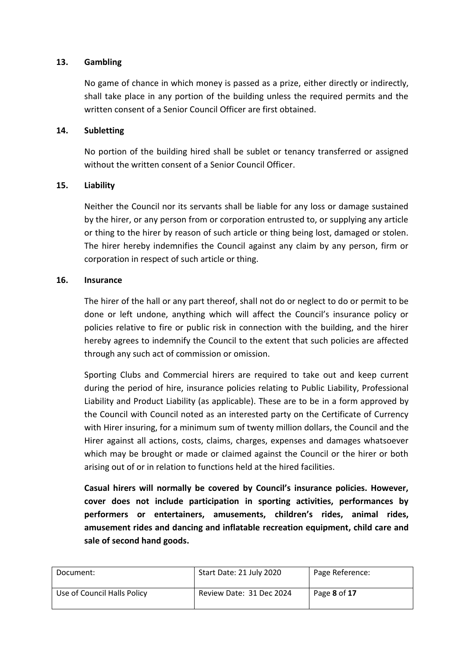#### **13. Gambling**

No game of chance in which money is passed as a prize, either directly or indirectly, shall take place in any portion of the building unless the required permits and the written consent of a Senior Council Officer are first obtained.

#### **14. Subletting**

No portion of the building hired shall be sublet or tenancy transferred or assigned without the written consent of a Senior Council Officer.

#### **15. Liability**

Neither the Council nor its servants shall be liable for any loss or damage sustained by the hirer, or any person from or corporation entrusted to, or supplying any article or thing to the hirer by reason of such article or thing being lost, damaged or stolen. The hirer hereby indemnifies the Council against any claim by any person, firm or corporation in respect of such article or thing.

#### **16. Insurance**

The hirer of the hall or any part thereof, shall not do or neglect to do or permit to be done or left undone, anything which will affect the Council's insurance policy or policies relative to fire or public risk in connection with the building, and the hirer hereby agrees to indemnify the Council to the extent that such policies are affected through any such act of commission or omission.

Sporting Clubs and Commercial hirers are required to take out and keep current during the period of hire, insurance policies relating to Public Liability, Professional Liability and Product Liability (as applicable). These are to be in a form approved by the Council with Council noted as an interested party on the Certificate of Currency with Hirer insuring, for a minimum sum of twenty million dollars, the Council and the Hirer against all actions, costs, claims, charges, expenses and damages whatsoever which may be brought or made or claimed against the Council or the hirer or both arising out of or in relation to functions held at the hired facilities.

**Casual hirers will normally be covered by Council's insurance policies. However, cover does not include participation in sporting activities, performances by performers or entertainers, amusements, children's rides, animal rides, amusement rides and dancing and inflatable recreation equipment, child care and sale of second hand goods.**

| Document:                   | Start Date: 21 July 2020 | Page Reference: |
|-----------------------------|--------------------------|-----------------|
| Use of Council Halls Policy | Review Date: 31 Dec 2024 | Page 8 of 17    |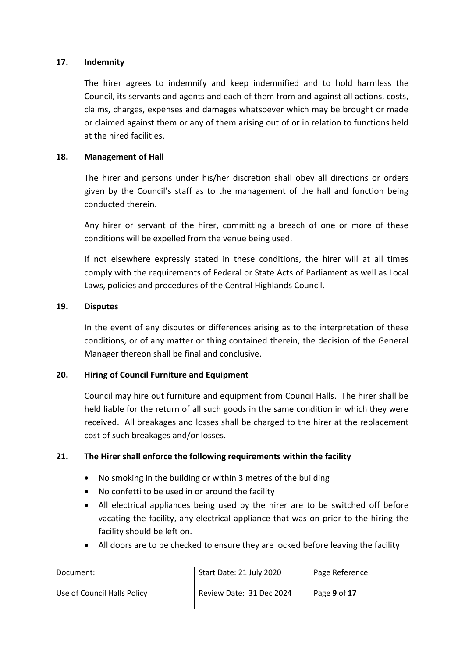#### **17. Indemnity**

The hirer agrees to indemnify and keep indemnified and to hold harmless the Council, its servants and agents and each of them from and against all actions, costs, claims, charges, expenses and damages whatsoever which may be brought or made or claimed against them or any of them arising out of or in relation to functions held at the hired facilities.

#### **18. Management of Hall**

The hirer and persons under his/her discretion shall obey all directions or orders given by the Council's staff as to the management of the hall and function being conducted therein.

Any hirer or servant of the hirer, committing a breach of one or more of these conditions will be expelled from the venue being used.

If not elsewhere expressly stated in these conditions, the hirer will at all times comply with the requirements of Federal or State Acts of Parliament as well as Local Laws, policies and procedures of the Central Highlands Council.

#### **19. Disputes**

In the event of any disputes or differences arising as to the interpretation of these conditions, or of any matter or thing contained therein, the decision of the General Manager thereon shall be final and conclusive.

#### **20. Hiring of Council Furniture and Equipment**

Council may hire out furniture and equipment from Council Halls. The hirer shall be held liable for the return of all such goods in the same condition in which they were received. All breakages and losses shall be charged to the hirer at the replacement cost of such breakages and/or losses.

#### **21. The Hirer shall enforce the following requirements within the facility**

- No smoking in the building or within 3 metres of the building
- No confetti to be used in or around the facility
- All electrical appliances being used by the hirer are to be switched off before vacating the facility, any electrical appliance that was on prior to the hiring the facility should be left on.
- All doors are to be checked to ensure they are locked before leaving the facility

| Document:                   | Start Date: 21 July 2020 | Page Reference: |
|-----------------------------|--------------------------|-----------------|
| Use of Council Halls Policy | Review Date: 31 Dec 2024 | Page 9 of 17    |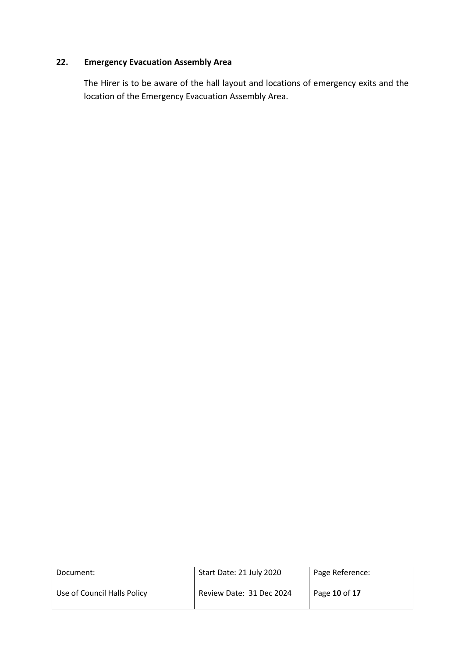#### **22. Emergency Evacuation Assembly Area**

The Hirer is to be aware of the hall layout and locations of emergency exits and the location of the Emergency Evacuation Assembly Area.

| Document:                   | Start Date: 21 July 2020 | Page Reference: |
|-----------------------------|--------------------------|-----------------|
| Use of Council Halls Policy | Review Date: 31 Dec 2024 | Page 10 of 17   |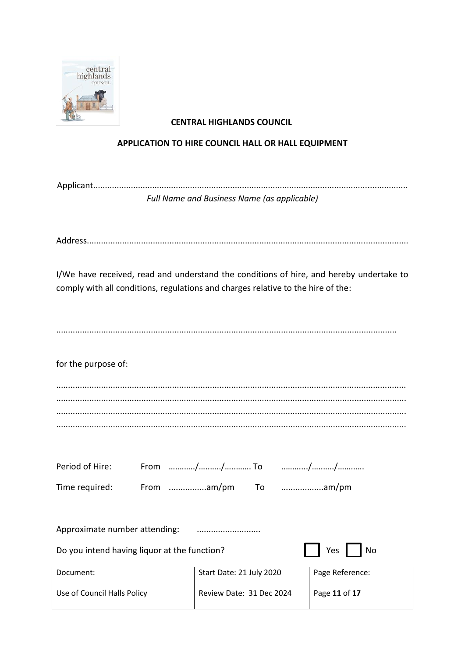

#### **CENTRAL HIGHLANDS COUNCIL**

#### APPLICATION TO HIRE COUNCIL HALL OR HALL EQUIPMENT

| Full Name and Business Name (as applicable) |  |
|---------------------------------------------|--|
|                                             |  |

I/We have received, read and understand the conditions of hire, and hereby undertake to comply with all conditions, regulations and charges relative to the hire of the:

for the purpose of:

|  | Time required: From am/pm To | am/pm |
|--|------------------------------|-------|

Approximate number attending: 

Do you intend having liquor at the function?

| ρc | חוח |
|----|-----|
|----|-----|

| Document:                   | Start Date: 21 July 2020 | Page Reference: |
|-----------------------------|--------------------------|-----------------|
| Use of Council Halls Policy | Review Date: 31 Dec 2024 | Page 11 of 17   |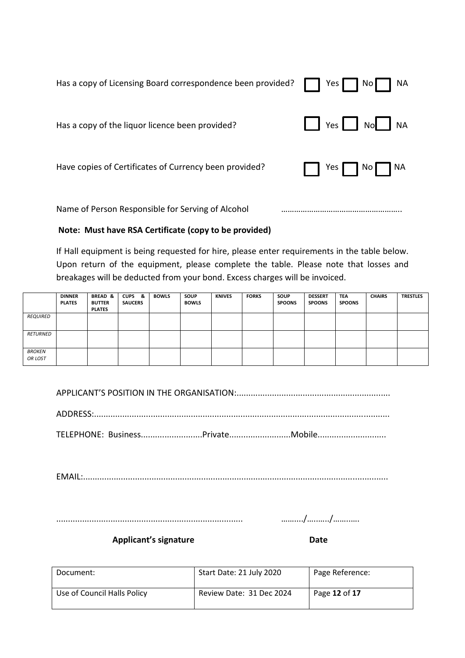| Has a copy of Licensing Board correspondence been provided? | Yes <b>Note</b><br><b>NA</b><br>No |
|-------------------------------------------------------------|------------------------------------|
| Has a copy of the liquor licence been provided?             | $Yes$ $No$<br><b>NA</b>            |
| Have copies of Certificates of Currency been provided?      | No I<br>  NA<br>Yes                |
| Name of Person Responsible for Serving of Alcohol           |                                    |

#### **Note: Must have RSA Certificate (copy to be provided)**

If Hall equipment is being requested for hire, please enter requirements in the table below. Upon return of the equipment, please complete the table. Please note that losses and breakages will be deducted from your bond. Excess charges will be invoiced.

|                          | <b>DINNER</b><br><b>PLATES</b> | <b>BREAD &amp;</b><br><b>BUTTER</b><br><b>PLATES</b> | <b>CUPS</b><br>-8.<br><b>SAUCERS</b> | <b>BOWLS</b> | SOUP<br><b>BOWLS</b> | <b>KNIVES</b> | <b>FORKS</b> | SOUP<br><b>SPOONS</b> | <b>DESSERT</b><br><b>SPOONS</b> | <b>TEA</b><br><b>SPOONS</b> | <b>CHAIRS</b> | <b>TRESTLES</b> |
|--------------------------|--------------------------------|------------------------------------------------------|--------------------------------------|--------------|----------------------|---------------|--------------|-----------------------|---------------------------------|-----------------------------|---------------|-----------------|
| REQUIRED                 |                                |                                                      |                                      |              |                      |               |              |                       |                                 |                             |               |                 |
| RETURNED                 |                                |                                                      |                                      |              |                      |               |              |                       |                                 |                             |               |                 |
| <b>BROKEN</b><br>OR LOST |                                |                                                      |                                      |              |                      |               |              |                       |                                 |                             |               |                 |

APPLICANT'S POSITION IN THE ORGANISATION:.................................................................

ADDRESS:.............................................................................................................................

TELEPHONE: Business..........................Private..........................Mobile.............................

EMAIL:.................................................................................................................................

............................................................................... ……..../…..…../……..….

Applicant's signature **Date** 

| Document:                   | Start Date: 21 July 2020 | Page Reference: |
|-----------------------------|--------------------------|-----------------|
| Use of Council Halls Policy | Review Date: 31 Dec 2024 | Page 12 of 17   |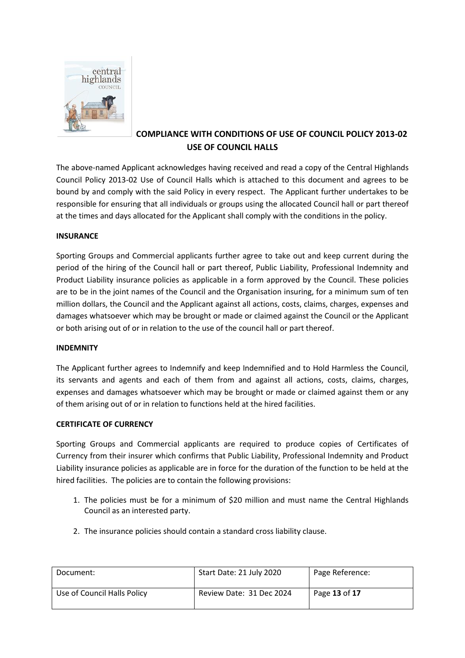

### **COMPLIANCE WITH CONDITIONS OF USE OF COUNCIL POLICY 2013-02 USE OF COUNCIL HALLS**

The above-named Applicant acknowledges having received and read a copy of the Central Highlands Council Policy 2013-02 Use of Council Halls which is attached to this document and agrees to be bound by and comply with the said Policy in every respect. The Applicant further undertakes to be responsible for ensuring that all individuals or groups using the allocated Council hall or part thereof at the times and days allocated for the Applicant shall comply with the conditions in the policy.

#### **INSURANCE**

Sporting Groups and Commercial applicants further agree to take out and keep current during the period of the hiring of the Council hall or part thereof, Public Liability, Professional Indemnity and Product Liability insurance policies as applicable in a form approved by the Council. These policies are to be in the joint names of the Council and the Organisation insuring, for a minimum sum of ten million dollars, the Council and the Applicant against all actions, costs, claims, charges, expenses and damages whatsoever which may be brought or made or claimed against the Council or the Applicant or both arising out of or in relation to the use of the council hall or part thereof.

#### **INDEMNITY**

The Applicant further agrees to Indemnify and keep Indemnified and to Hold Harmless the Council, its servants and agents and each of them from and against all actions, costs, claims, charges, expenses and damages whatsoever which may be brought or made or claimed against them or any of them arising out of or in relation to functions held at the hired facilities.

#### **CERTIFICATE OF CURRENCY**

Sporting Groups and Commercial applicants are required to produce copies of Certificates of Currency from their insurer which confirms that Public Liability, Professional Indemnity and Product Liability insurance policies as applicable are in force for the duration of the function to be held at the hired facilities. The policies are to contain the following provisions:

- 1. The policies must be for a minimum of \$20 million and must name the Central Highlands Council as an interested party.
- 2. The insurance policies should contain a standard cross liability clause.

| Document:                   | Start Date: 21 July 2020 | Page Reference: |
|-----------------------------|--------------------------|-----------------|
| Use of Council Halls Policy | Review Date: 31 Dec 2024 | Page 13 of 17   |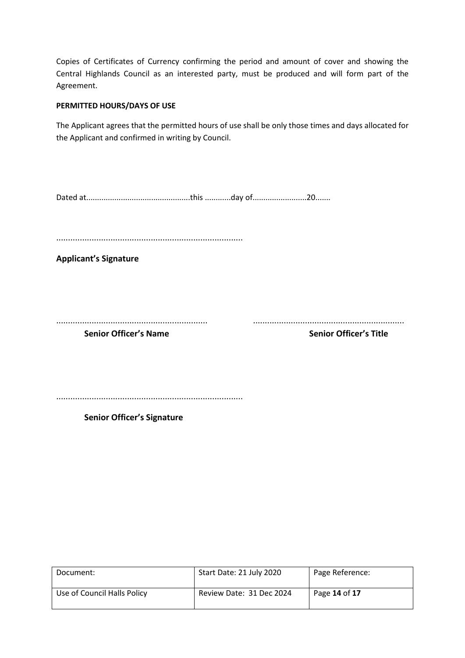Copies of Certificates of Currency confirming the period and amount of cover and showing the Central Highlands Council as an interested party, must be produced and will form part of the Agreement.

#### **PERMITTED HOURS/DAYS OF USE**

The Applicant agrees that the permitted hours of use shall be only those times and days allocated for the Applicant and confirmed in writing by Council.

Dated at................................................this ............day of.........................20.......

...............................................................................

**Applicant's Signature**

................................................................ ................................................................

**Senior Officer's Name Senior Officer's Title**

...............................................................................

**Senior Officer's Signature**

| Document:                   | Start Date: 21 July 2020 | Page Reference: |
|-----------------------------|--------------------------|-----------------|
| Use of Council Halls Policy | Review Date: 31 Dec 2024 | Page 14 of 17   |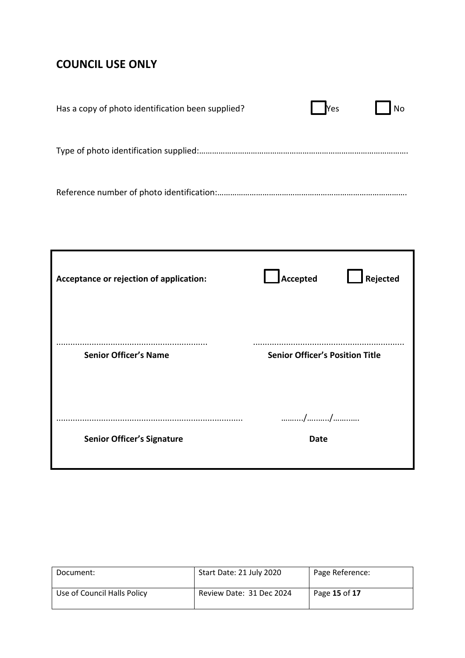# **COUNCIL USE ONLY**

| Has a copy of photo identification been supplied? | Yes<br><b>No</b> |
|---------------------------------------------------|------------------|
|                                                   |                  |
|                                                   |                  |

| Acceptance or rejection of application: | Accepted                               | $\mathsf I$ Rejected |
|-----------------------------------------|----------------------------------------|----------------------|
| <b>Senior Officer's Name</b>            | <b>Senior Officer's Position Title</b> |                      |
| <b>Senior Officer's Signature</b>       | //<br><b>Date</b>                      |                      |

| Document:                   | Start Date: 21 July 2020 | Page Reference: |
|-----------------------------|--------------------------|-----------------|
| Use of Council Halls Policy | Review Date: 31 Dec 2024 | Page 15 of 17   |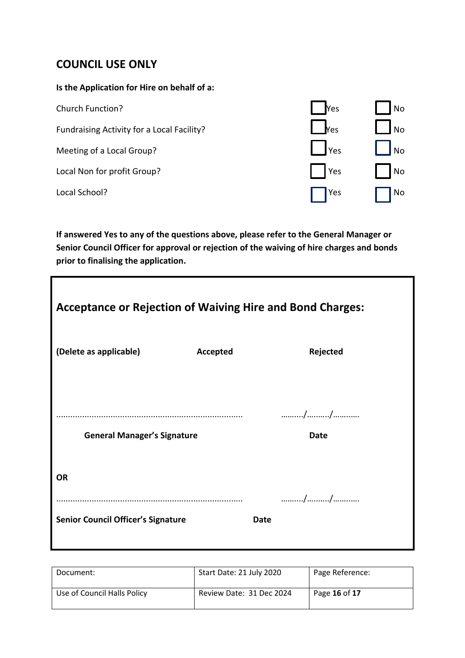## **COUNCIL USE ONLY**

#### **Is the Application for Hire on behalf of a:**

| Church Function?                           | <b>Nes</b>       | <b>No</b> |
|--------------------------------------------|------------------|-----------|
| Fundraising Activity for a Local Facility? | <b>Nes</b>       | <b>No</b> |
| Meeting of a Local Group?                  | $\mathsf{I}$ Yes | <b>No</b> |
| Local Non for profit Group?                | $\vert$ Yes      | <b>No</b> |
| Local School?                              | Yes              | No        |

**If answered Yes to any of the questions above, please refer to the General Manager or Senior Council Officer for approval or rejection of the waiving of hire charges and bonds prior to finalising the application.**

| <b>Acceptance or Rejection of Waiving Hire and Bond Charges:</b> |          |                   |  |  |
|------------------------------------------------------------------|----------|-------------------|--|--|
| (Delete as applicable)                                           | Accepted | Rejected          |  |  |
| <b>General Manager's Signature</b>                               |          | //<br><b>Date</b> |  |  |
| <b>OR</b>                                                        |          |                   |  |  |
| <b>Senior Council Officer's Signature</b>                        |          | <b>Date</b>       |  |  |

| Document:                   | Start Date: 21 July 2020 | Page Reference: |
|-----------------------------|--------------------------|-----------------|
| Use of Council Halls Policy | Review Date: 31 Dec 2024 | Page 16 of 17   |